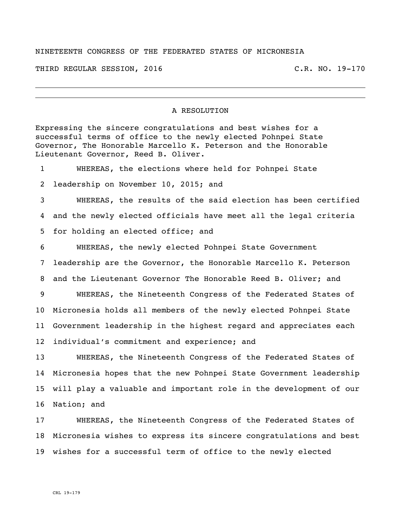## NINETEENTH CONGRESS OF THE FEDERATED STATES OF MICRONESIA

THIRD REGULAR SESSION, 2016 C.R. NO. 19-170

## A RESOLUTION

Expressing the sincere congratulations and best wishes for a successful terms of office to the newly elected Pohnpei State Governor, The Honorable Marcello K. Peterson and the Honorable Lieutenant Governor, Reed B. Oliver.

 WHEREAS, the elections where held for Pohnpei State leadership on November 10, 2015; and WHEREAS, the results of the said election has been certified and the newly elected officials have meet all the legal criteria for holding an elected office; and WHEREAS, the newly elected Pohnpei State Government leadership are the Governor, the Honorable Marcello K. Peterson and the Lieutenant Governor The Honorable Reed B. Oliver; and WHEREAS, the Nineteenth Congress of the Federated States of Micronesia holds all members of the newly elected Pohnpei State Government leadership in the highest regard and appreciates each individual's commitment and experience; and WHEREAS, the Nineteenth Congress of the Federated States of Micronesia hopes that the new Pohnpei State Government leadership will play a valuable and important role in the development of our

Nation; and

 WHEREAS, the Nineteenth Congress of the Federated States of Micronesia wishes to express its sincere congratulations and best wishes for a successful term of office to the newly elected